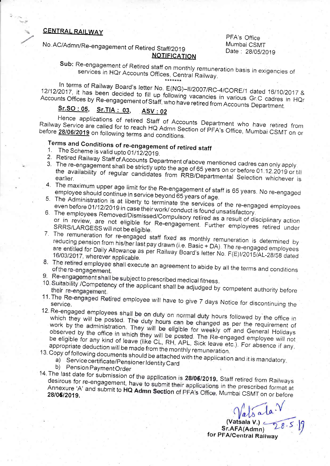## CENTRAL RAILWAY

No. AC/Admn/Re-engagement of Retired Staff/2019 NOTIFICATION PFA's Office Mumbai CSMT Date: 28/05/2019

Sub: Re-engagement of Retired staff on monthly remuneration basis in exigencies of services in HQr Accounts Offices, Central Railway.

In terms of Railway Board's letter No. E(NG)-II/2007/RC-4/CORE/1 dated 16/10/2017 &<br>12/12/2017, it has been decided to fill up following vacancies in various Gr.C cadres in HQr<br>Accounts Offices by Re-engagement of Staff, w 12/12/2017, it has been decided to fill up following vacancies in various Gr.C cadres in HQr<br>Accounts Offices by Re-engagement of Staff, who have retired from Accounts Department<br>Sr.SO: 05, Sr.TIA : 03, ASV: 02<br>Hence appli

Railway Service are called for to reach HQ Admn Section of PFA's Office, Mumbai CSMT on or<br>before 28/06/2019 on following terms and conditions

## Terms and Conditions of re-engagement of retired staff<br>1. The Scheme is valid upto 01/12/2019.

- 1. The Scheme is valid upto 01/12/2019.  $2.$
- Retired
- $3<sub>l</sub>$ The re-engagement 3. The re-engagement shall be strictly upto the age of 65 years on or before 01.12.2019 or till earlier. **1997** the availability of regular candidates from RRB/Departmental Selection whichever is<br>earlier.<br>4. The maximum upper age limit for the Be opposite that is the series of the RA Selection whichever is
- employee rhe maximum num upper age limit for the Re-engagement of staff is 65 years. No re-engage<br>should continue in service heyond 65 years of a se employee should continue in service beyond 65 years of age.
- 5. The Administration is at liberty to terminate the services of age.<br>Examples of the re-engaged employees<br>even before 01/12/2019 in case their work/conduct: Conductional re-engaged employees even before 01/12/2019 in case their work/ conduct is found unsatisfactory.<br>The employees Removed/Dismissed/Compulsory retired as a result of i
- 6. The employees Removed/Dismissed/Compulsory retired as a result of disciplinary action<br>or in review, are not eligible for Re-engagement E all a result of disciplinary action or in review, are not eligible for Re-engagement. Further employees retired under<br>SRRS/LARGESS will not be eligible.<br>T SRRS/LARGESS will not be eligible.
- 7. The remuneration for re-engaged staff fixed as monthly remuneration is determined by<br>reducing pension from his/her last pay drawn (i.e. Basic + DA). The re-engaged employees<br>are entitled for Daily Allowance as per Railw 16/03/2017, wherever applicable.
- 8. The retired employee shall execute an agreement to abide by all the terms and conditions of the re-engagement.
- 9. Re-engagement shall be subject to prescribed medical fitness.
- 10. Suitability /Competency of the applicant shall be adjudged by competent authority before their re-engagement.
- 11. The Re-engaged Retired employee will have to give 7 days Notice for discontinuing the
- 12. Re-engaged employees shall be on duty on normal duty hours followed by the office in which they will be posted. The duty hours can be changed as per the requirement of work by the administration. They will be eligible for weekly off and General Holidays observed by the office in which they will be posted. The Re-engaged employee will not be eligible for any kind of leave (like CL, RH, APL, Sick leave etc.). For absence if any, appropriate deduction will be made from the monthly remuneration.<br>13. Copy of following documents should be attached with the application and it is mandatory.<br>a) Service certificate/PensionerIdentity Card
- -
	- b) Pension Payment Order
- 14. The last date for submission of the application is 28/06/2019. Staff retired from Railways desirous for re-engagement, have to submit their applications in the prescribed from Railways<br>Annexure 'A' and submit to HQ Admn Section of PFA's Office, Mumbai CSMT on or bafa. Annexure 'A' and submit to HQ Admn Section of PFA's Office, Mumbai CSMT on or before<br>28/06/2019.

 $\sqrt{\frac{1}{a}}\int_{\delta}^{\delta} a \ln \sqrt{\frac{1}{28}}$ <br>Sr.AFA(Admn)  $\frac{1}{28.5}$ <br>for PFA/Central Railway